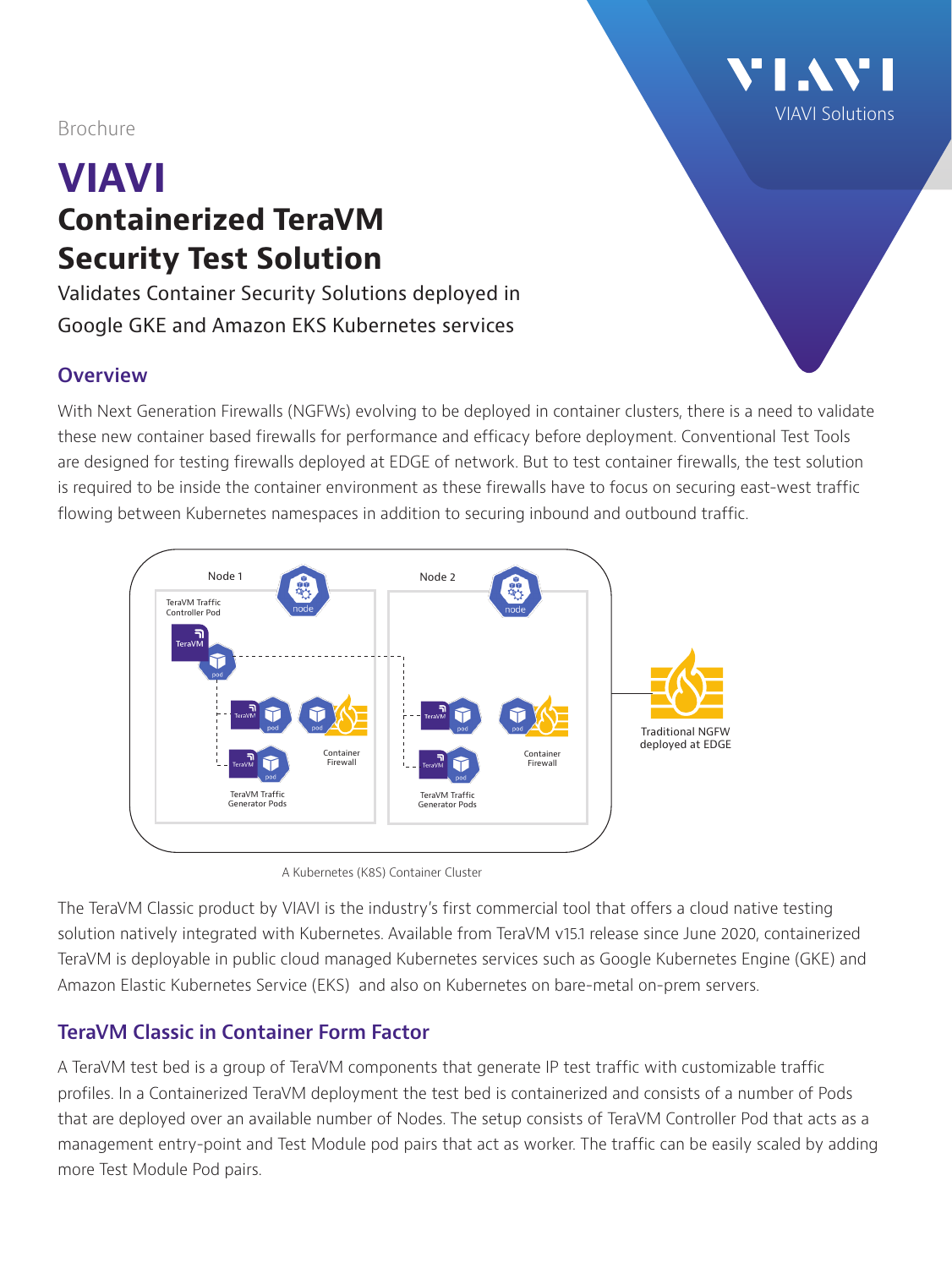Brochure

## **VIAVI Containerized TeraVM Security Test Solution**

Validates Container Security Solutions deployed in Google GKE and Amazon EKS Kubernetes services

## **Overview**

With Next Generation Firewalls (NGFWs) evolving to be deployed in container clusters, there is a need to validate these new container based firewalls for performance and efficacy before deployment. Conventional Test Tools are designed for testing firewalls deployed at EDGE of network. But to test container firewalls, the test solution is required to be inside the container environment as these firewalls have to focus on securing east-west traffic flowing between Kubernetes namespaces in addition to securing inbound and outbound traffic.

VIAVI Solutions





The TeraVM Classic product by VIAVI is the industry's first commercial tool that offers a cloud native testing solution natively integrated with Kubernetes. Available from TeraVM v15.1 release since June 2020, containerized TeraVM is deployable in public cloud managed Kubernetes services such as Google Kubernetes Engine (GKE) and Amazon Elastic Kubernetes Service (EKS) and also on Kubernetes on bare-metal on-prem servers.

## **TeraVM Classic in Container Form Factor**

A TeraVM test bed is a group of TeraVM components that generate IP test traffic with customizable traffic profiles. In a Containerized TeraVM deployment the test bed is containerized and consists of a number of Pods that are deployed over an available number of Nodes. The setup consists of TeraVM Controller Pod that acts as a management entry-point and Test Module pod pairs that act as worker. The traffic can be easily scaled by adding more Test Module Pod pairs.